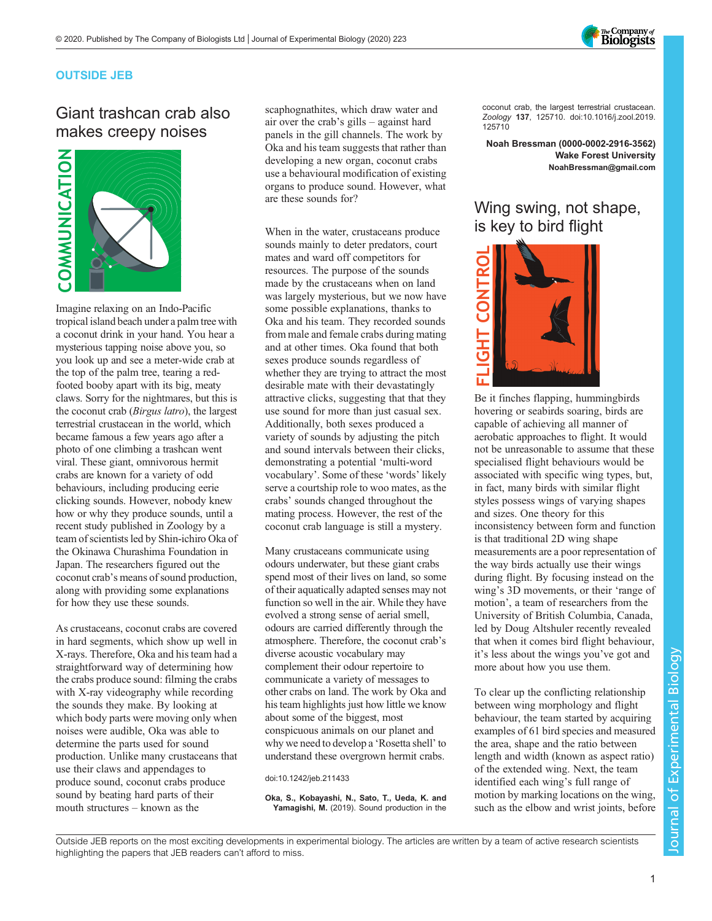

#### OUTSIDE JEB

# Giant trashcan crab also makes creepy noises



Imagine relaxing on an Indo-Pacific tropical island beach under a palm tree with a coconut drink in your hand. You hear a mysterious tapping noise above you, so you look up and see a meter-wide crab at the top of the palm tree, tearing a redfooted booby apart with its big, meaty claws. Sorry for the nightmares, but this is the coconut crab (Birgus latro), the largest terrestrial crustacean in the world, which became famous a few years ago after a photo of one climbing a trashcan went viral. These giant, omnivorous hermit crabs are known for a variety of odd behaviours, including producing eerie clicking sounds. However, nobody knew how or why they produce sounds, until a recent study published in Zoology by a team of scientists led by Shin-ichiro Oka of the Okinawa Churashima Foundation in Japan. The researchers figured out the coconut crab's means of sound production, along with providing some explanations for how they use these sounds.

As crustaceans, coconut crabs are covered in hard segments, which show up well in X-rays. Therefore, Oka and his team had a straightforward way of determining how the crabs produce sound: filming the crabs with X-ray videography while recording the sounds they make. By looking at which body parts were moving only when noises were audible, Oka was able to determine the parts used for sound production. Unlike many crustaceans that use their claws and appendages to produce sound, coconut crabs produce sound by beating hard parts of their mouth structures – known as the

scaphognathites, which draw water and air over the crab's gills – against hard panels in the gill channels. The work by Oka and his team suggests that rather than developing a new organ, coconut crabs use a behavioural modification of existing organs to produce sound. However, what are these sounds for?

When in the water, crustaceans produce sounds mainly to deter predators, court mates and ward off competitors for resources. The purpose of the sounds made by the crustaceans when on land was largely mysterious, but we now have some possible explanations, thanks to Oka and his team. They recorded sounds from male and female crabs during mating and at other times. Oka found that both sexes produce sounds regardless of whether they are trying to attract the most desirable mate with their devastatingly attractive clicks, suggesting that that they use sound for more than just casual sex. Additionally, both sexes produced a variety of sounds by adjusting the pitch and sound intervals between their clicks, demonstrating a potential 'multi-word vocabulary'. Some of these 'words' likely serve a courtship role to woo mates, as the crabs' sounds changed throughout the mating process. However, the rest of the coconut crab language is still a mystery.

Many crustaceans communicate using odours underwater, but these giant crabs spend most of their lives on land, so some of their aquatically adapted senses may not function so well in the air. While they have evolved a strong sense of aerial smell, odours are carried differently through the atmosphere. Therefore, the coconut crab's diverse acoustic vocabulary may complement their odour repertoire to communicate a variety of messages to other crabs on land. The work by Oka and his team highlights just how little we know about some of the biggest, most conspicuous animals on our planet and why we need to develop a 'Rosetta shell' to understand these overgrown hermit crabs.

#### doi:10.1242/jeb.211433

[Oka, S., Kobayashi, N., Sato, T., Ueda, K. and](https://doi.org/10.1016/j.zool.2019.125710) Yamagishi, M. [\(2019\). Sound production in the](https://doi.org/10.1016/j.zool.2019.125710)

[coconut crab, the largest terrestrial crustacean.](https://doi.org/10.1016/j.zool.2019.125710) Zoology 137[, 125710. doi:10.1016/j.zool.2019.](https://doi.org/10.1016/j.zool.2019.125710) [125710](https://doi.org/10.1016/j.zool.2019.125710)

Noah Bressman [\(0000-0002-2916-3562](http://orcid.org/0000-0002-2916-3562)) Wake Forest University [NoahBressman@gmail.com](mailto:NoahBressman@gmail.com)

# Wing swing, not shape, is key to bird flight



Be it finches flapping, hummingbirds hovering or seabirds soaring, birds are capable of achieving all manner of aerobatic approaches to flight. It would not be unreasonable to assume that these specialised flight behaviours would be associated with specific wing types, but, in fact, many birds with similar flight styles possess wings of varying shapes and sizes. One theory for this inconsistency between form and function is that traditional 2D wing shape measurements are a poor representation of the way birds actually use their wings during flight. By focusing instead on the wing's 3D movements, or their 'range of motion', a team of researchers from the University of British Columbia, Canada, led by Doug Altshuler recently revealed that when it comes bird flight behaviour, it's less about the wings you've got and more about how you use them.

To clear up the conflicting relationship between wing morphology and flight behaviour, the team started by acquiring examples of 61 bird species and measured the area, shape and the ratio between length and width (known as aspect ratio) of the extended wing. Next, the team identified each wing's full range of motion by marking locations on the wing, such as the elbow and wrist joints, before

Outside JEB reports on the most exciting developments in experimental biology. The articles are written by a team of active research scientists highlighting the papers that JEB readers can't afford to miss.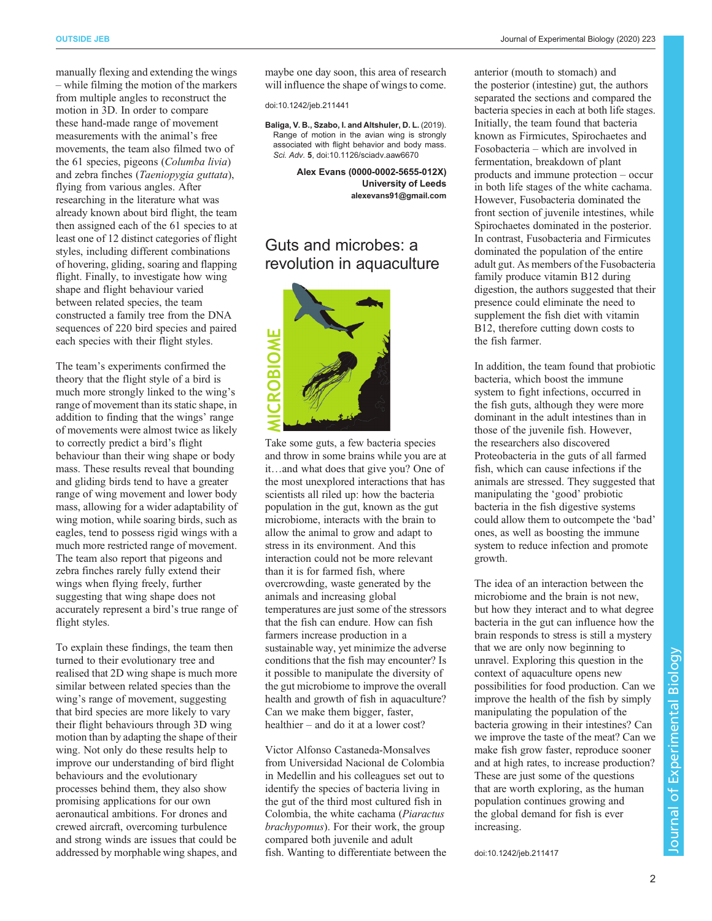manually flexing and extending the wings – while filming the motion of the markers from multiple angles to reconstruct the motion in 3D. In order to compare these hand-made range of movement measurements with the animal's free movements, the team also filmed two of the 61 species, pigeons (Columba livia) and zebra finches (Taeniopygia guttata), flying from various angles. After researching in the literature what was already known about bird flight, the team then assigned each of the 61 species to at least one of 12 distinct categories of flight styles, including different combinations of hovering, gliding, soaring and flapping flight. Finally, to investigate how wing shape and flight behaviour varied between related species, the team constructed a family tree from the DNA sequences of 220 bird species and paired each species with their flight styles.

The team's experiments confirmed the theory that the flight style of a bird is much more strongly linked to the wing's range of movement than its static shape, in addition to finding that the wings' range of movements were almost twice as likely to correctly predict a bird's flight behaviour than their wing shape or body mass. These results reveal that bounding and gliding birds tend to have a greater range of wing movement and lower body mass, allowing for a wider adaptability of wing motion, while soaring birds, such as eagles, tend to possess rigid wings with a much more restricted range of movement. The team also report that pigeons and zebra finches rarely fully extend their wings when flying freely, further suggesting that wing shape does not accurately represent a bird's true range of flight styles.

To explain these findings, the team then turned to their evolutionary tree and realised that 2D wing shape is much more similar between related species than the wing's range of movement, suggesting that bird species are more likely to vary their flight behaviours through 3D wing motion than by adapting the shape of their wing. Not only do these results help to improve our understanding of bird flight behaviours and the evolutionary processes behind them, they also show promising applications for our own aeronautical ambitions. For drones and crewed aircraft, overcoming turbulence and strong winds are issues that could be addressed by morphable wing shapes, and

maybe one day soon, this area of research will influence the shape of wings to come.

doi:10.1242/jeb.211441

[Baliga, V. B., Szabo, I. and Altshuler, D. L.](https://doi.org/10.1126/sciadv.aaw6670) (2019). [Range of motion in the avian wing is strongly](https://doi.org/10.1126/sciadv.aaw6670) [associated with flight behavior and body mass.](https://doi.org/10.1126/sciadv.aaw6670) Sci. Adv. 5[, doi:10.1126/sciadv.aaw6670](https://doi.org/10.1126/sciadv.aaw6670)

> Alex Evans [\(0000-0002-5655-012X](http://orcid.org/0000-0002-5655-012X)) University of Leeds [alexevans91@gmail.com](mailto:alexevans91@gmail.com)

# Guts and microbes: a revolution in aquaculture



Take some guts, a few bacteria species and throw in some brains while you are at it…and what does that give you? One of the most unexplored interactions that has scientists all riled up: how the bacteria population in the gut, known as the gut microbiome, interacts with the brain to allow the animal to grow and adapt to stress in its environment. And this interaction could not be more relevant than it is for farmed fish, where overcrowding, waste generated by the animals and increasing global temperatures are just some of the stressors that the fish can endure. How can fish farmers increase production in a sustainable way, yet minimize the adverse conditions that the fish may encounter? Is it possible to manipulate the diversity of the gut microbiome to improve the overall health and growth of fish in aquaculture? Can we make them bigger, faster, healthier – and do it at a lower cost?

Victor Alfonso Castaneda-Monsalves from Universidad Nacional de Colombia in Medellin and his colleagues set out to identify the species of bacteria living in the gut of the third most cultured fish in Colombia, the white cachama (Piaractus brachypomus). For their work, the group compared both juvenile and adult fish. Wanting to differentiate between the anterior (mouth to stomach) and the posterior (intestine) gut, the authors separated the sections and compared the bacteria species in each at both life stages. Initially, the team found that bacteria known as Firmicutes, Spirochaetes and Fosobacteria – which are involved in fermentation, breakdown of plant products and immune protection – occur in both life stages of the white cachama. However, Fusobacteria dominated the front section of juvenile intestines, while Spirochaetes dominated in the posterior. In contrast, Fusobacteria and Firmicutes dominated the population of the entire adult gut. As members of the Fusobacteria family produce vitamin B12 during digestion, the authors suggested that their presence could eliminate the need to supplement the fish diet with vitamin B12, therefore cutting down costs to the fish farmer.

In addition, the team found that probiotic bacteria, which boost the immune system to fight infections, occurred in the fish guts, although they were more dominant in the adult intestines than in those of the juvenile fish. However, the researchers also discovered Proteobacteria in the guts of all farmed fish, which can cause infections if the animals are stressed. They suggested that manipulating the 'good' probiotic bacteria in the fish digestive systems could allow them to outcompete the 'bad' ones, as well as boosting the immune system to reduce infection and promote growth.

The idea of an interaction between the microbiome and the brain is not new, but how they interact and to what degree bacteria in the gut can influence how the brain responds to stress is still a mystery that we are only now beginning to unravel. Exploring this question in the context of aquaculture opens new possibilities for food production. Can we improve the health of the fish by simply manipulating the population of the bacteria growing in their intestines? Can we improve the taste of the meat? Can we make fish grow faster, reproduce sooner and at high rates, to increase production? These are just some of the questions that are worth exploring, as the human population continues growing and the global demand for fish is ever increasing.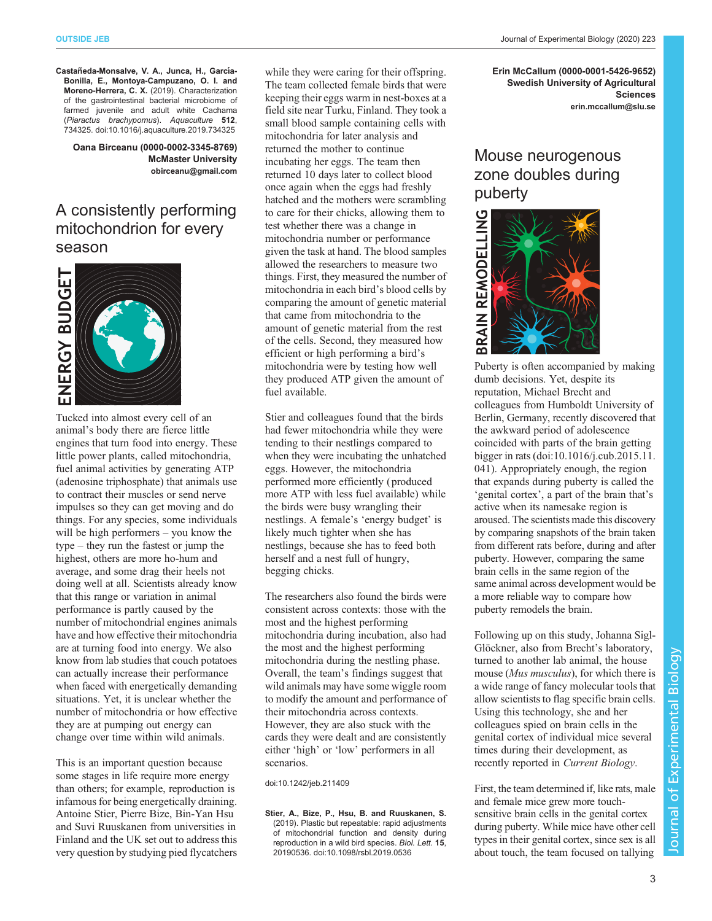Castañ[eda-Monsalve, V. A., Junca, H., Garc](https://doi.org/10.1016/j.aquaculture.2019.734325)ía-[Bonilla, E., Montoya-Campuzano, O. I. and](https://doi.org/10.1016/j.aquaculture.2019.734325) Moreno-Herrera, C. X. [\(2019\). Characterization](https://doi.org/10.1016/j.aquaculture.2019.734325) [of the gastrointestinal bacterial microbiome of](https://doi.org/10.1016/j.aquaculture.2019.734325) [farmed juvenile and adult white Cachama](https://doi.org/10.1016/j.aquaculture.2019.734325) ([Piaractus brachypomus](https://doi.org/10.1016/j.aquaculture.2019.734325)). Aquaculture 512, [734325. doi:10.1016/j.aquaculture.2019.734325](https://doi.org/10.1016/j.aquaculture.2019.734325)

Oana Birceanu [\(0000-0002-3345-8769](http://orcid.org/0000-0002-3345-8769)) McMaster University [obirceanu@gmail.com](mailto:obirceanu@gmail.com)

# A consistently performing mitochondrion for every season



Tucked into almost every cell of an animal's body there are fierce little engines that turn food into energy. These little power plants, called mitochondria, fuel animal activities by generating ATP (adenosine triphosphate) that animals use to contract their muscles or send nerve impulses so they can get moving and do things. For any species, some individuals will be high performers – you know the type – they run the fastest or jump the highest, others are more ho-hum and average, and some drag their heels not doing well at all. Scientists already know that this range or variation in animal performance is partly caused by the number of mitochondrial engines animals have and how effective their mitochondria are at turning food into energy. We also know from lab studies that couch potatoes can actually increase their performance when faced with energetically demanding situations. Yet, it is unclear whether the number of mitochondria or how effective they are at pumping out energy can change over time within wild animals.

This is an important question because some stages in life require more energy than others; for example, reproduction is infamous for being energetically draining. Antoine Stier, Pierre Bize, Bin-Yan Hsu and Suvi Ruuskanen from universities in Finland and the UK set out to address this very question by studying pied flycatchers while they were caring for their offspring. The team collected female birds that were keeping their eggs warm in nest-boxes at a field site near Turku, Finland. They took a small blood sample containing cells with mitochondria for later analysis and returned the mother to continue incubating her eggs. The team then returned 10 days later to collect blood once again when the eggs had freshly hatched and the mothers were scrambling to care for their chicks, allowing them to test whether there was a change in mitochondria number or performance given the task at hand. The blood samples allowed the researchers to measure two things. First, they measured the number of mitochondria in each bird's blood cells by comparing the amount of genetic material that came from mitochondria to the amount of genetic material from the rest of the cells. Second, they measured how efficient or high performing a bird's mitochondria were by testing how well they produced ATP given the amount of fuel available.

Stier and colleagues found that the birds had fewer mitochondria while they were tending to their nestlings compared to when they were incubating the unhatched eggs. However, the mitochondria performed more efficiently ( produced more ATP with less fuel available) while the birds were busy wrangling their nestlings. A female's 'energy budget' is likely much tighter when she has nestlings, because she has to feed both herself and a nest full of hungry, begging chicks.

The researchers also found the birds were consistent across contexts: those with the most and the highest performing mitochondria during incubation, also had the most and the highest performing mitochondria during the nestling phase. Overall, the team's findings suggest that wild animals may have some wiggle room to modify the amount and performance of their mitochondria across contexts. However, they are also stuck with the cards they were dealt and are consistently either 'high' or 'low' performers in all scenarios.

doi:10.1242/jeb.211409

[Stier, A., Bize, P., Hsu, B. and Ruuskanen, S.](https://doi.org/10.1098/rsbl.2019.0536) [\(2019\). Plastic but repeatable: rapid adjustments](https://doi.org/10.1098/rsbl.2019.0536) [of mitochondrial function and density during](https://doi.org/10.1098/rsbl.2019.0536) [reproduction in a wild bird species.](https://doi.org/10.1098/rsbl.2019.0536) Biol. Lett. 15, [20190536. doi:10.1098/rsbl.2019.0536](https://doi.org/10.1098/rsbl.2019.0536)

Erin McCallum [\(0000-0001-5426-9652](http://orcid.org/0000-0001-5426-9652)) Swedish University of Agricultural **Sciences** [erin.mccallum@slu.se](mailto:erin.mccallum@slu.se)

# Mouse neurogenous zone doubles during puberty



Puberty is often accompanied by making dumb decisions. Yet, despite its reputation, Michael Brecht and colleagues from Humboldt University of Berlin, Germany, recently discovered that the awkward period of adolescence coincided with parts of the brain getting bigger in rats ([doi:10.1016/j.cub.2015.11.](https://doi.org/10.1016/j.cub.2015.11.041) [041](https://doi.org/10.1016/j.cub.2015.11.041)). Appropriately enough, the region that expands during puberty is called the 'genital cortex', a part of the brain that's active when its namesake region is aroused. The scientists made this discovery by comparing snapshots of the brain taken from different rats before, during and after puberty. However, comparing the same brain cells in the same region of the same animal across development would be a more reliable way to compare how puberty remodels the brain.

Following up on this study, Johanna Sigl-Glöckner, also from Brecht's laboratory, turned to another lab animal, the house mouse (*Mus musculus*), for which there is a wide range of fancy molecular tools that allow scientists to flag specific brain cells. Using this technology, she and her colleagues spied on brain cells in the genital cortex of individual mice several times during their development, as recently reported in *Current Biology*.

First, the team determined if, like rats, male and female mice grew more touchsensitive brain cells in the genital cortex during puberty. While mice have other cell types in their genital cortex, since sex is all about touch, the team focused on tallying